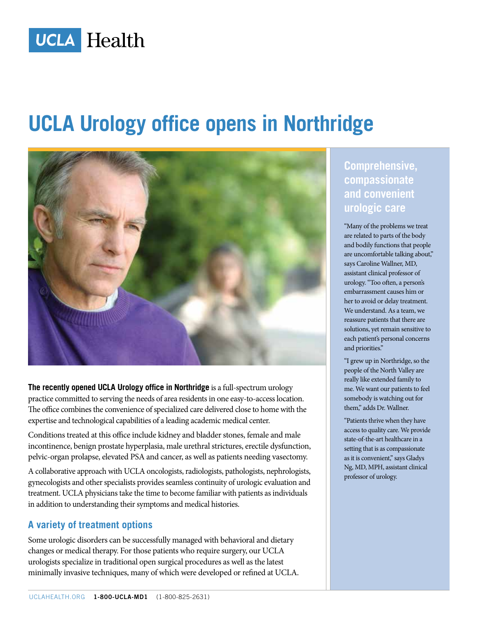

# **UCLA Urology office opens in Northridge**



**The recently opened UCLA Urology office in Northridge** is a full-spectrum urology practice committed to serving the needs of area residents in one easy-to-access location. The office combines the convenience of specialized care delivered close to home with the expertise and technological capabilities of a leading academic medical center.

Conditions treated at this office include kidney and bladder stones, female and male incontinence, benign prostate hyperplasia, male urethral strictures, erectile dysfunction, pelvic-organ prolapse, elevated PSA and cancer, as well as patients needing vasectomy.

A collaborative approach with UCLA oncologists, radiologists, pathologists, nephrologists, gynecologists and other specialists provides seamless continuity of urologic evaluation and treatment. UCLA physicians take the time to become familiar with patients as individuals in addition to understanding their symptoms and medical histories.

#### **A variety of treatment options**

Some urologic disorders can be successfully managed with behavioral and dietary changes or medical therapy. For those patients who require surgery, our UCLA urologists specialize in traditional open surgical procedures as well as the latest minimally invasive techniques, many of which were developed or refined at UCLA. **Comprehensive, compassionate and convenient urologic care**

"Many of the problems we treat are related to parts of the body and bodily functions that people are uncomfortable talking about," says Caroline Wallner, MD, assistant clinical professor of urology. "Too often, a person's embarrassment causes him or her to avoid or delay treatment. We understand. As a team, we reassure patients that there are solutions, yet remain sensitive to each patient's personal concerns and priorities."

"I grew up in Northridge, so the people of the North Valley are really like extended family to me. We want our patients to feel somebody is watching out for them," adds Dr. Wallner.

"Patients thrive when they have access to quality care. We provide state-of-the-art healthcare in a setting that is as compassionate as it is convenient," says Gladys Ng, MD, MPH, assistant clinical professor of urology.